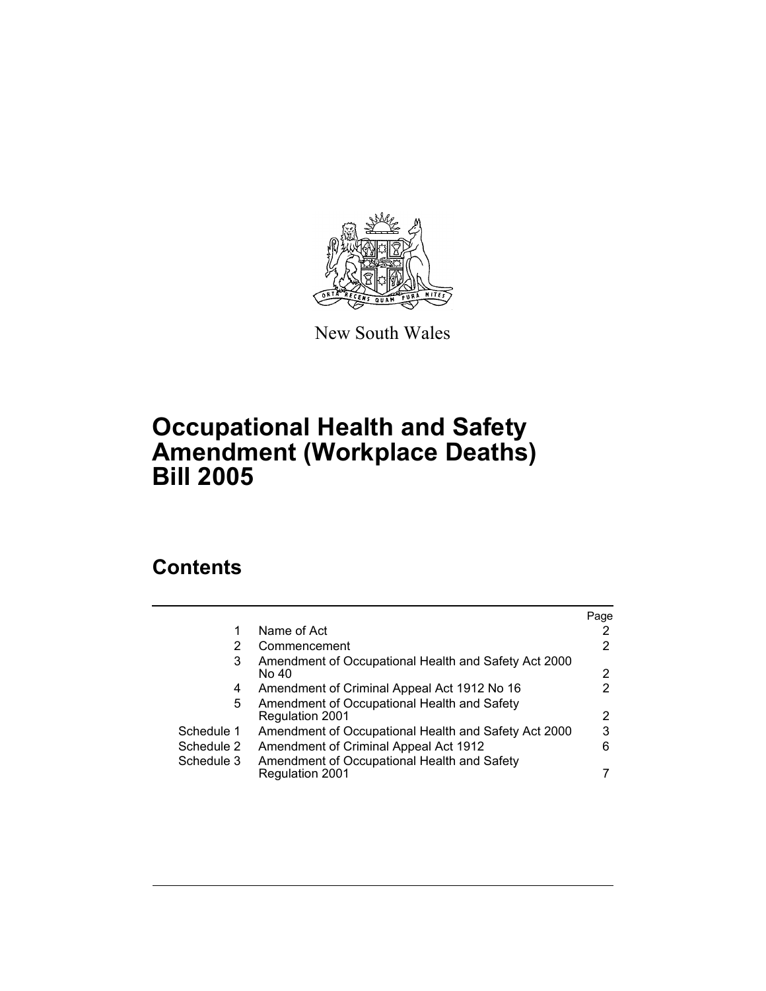

New South Wales

## **Occupational Health and Safety Amendment (Workplace Deaths) Bill 2005**

## **Contents**

|            |                                                                       | Page |
|------------|-----------------------------------------------------------------------|------|
|            | Name of Act                                                           |      |
|            | Commencement                                                          | 2    |
| 3          | Amendment of Occupational Health and Safety Act 2000<br>No 40         | 2    |
| 4          | Amendment of Criminal Appeal Act 1912 No 16                           | 2    |
| 5.         | Amendment of Occupational Health and Safety<br><b>Regulation 2001</b> | 2    |
| Schedule 1 | Amendment of Occupational Health and Safety Act 2000                  | 3    |
| Schedule 2 | Amendment of Criminal Appeal Act 1912                                 | 6    |
| Schedule 3 | Amendment of Occupational Health and Safety<br>Regulation 2001        |      |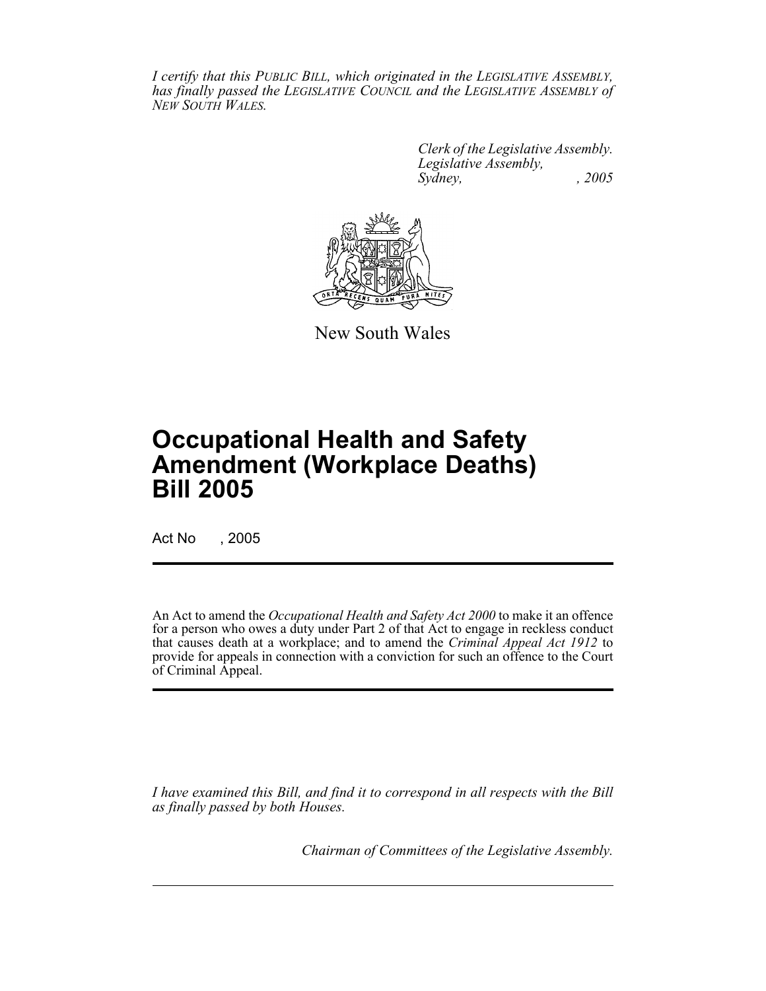*I certify that this PUBLIC BILL, which originated in the LEGISLATIVE ASSEMBLY, has finally passed the LEGISLATIVE COUNCIL and the LEGISLATIVE ASSEMBLY of NEW SOUTH WALES.*

> *Clerk of the Legislative Assembly. Legislative Assembly, Sydney, , 2005*



New South Wales

# **Occupational Health and Safety Amendment (Workplace Deaths) Bill 2005**

Act No , 2005

An Act to amend the *Occupational Health and Safety Act 2000* to make it an offence for a person who owes a duty under Part 2 of that Act to engage in reckless conduct that causes death at a workplace; and to amend the *Criminal Appeal Act 1912* to provide for appeals in connection with a conviction for such an offence to the Court of Criminal Appeal.

*I have examined this Bill, and find it to correspond in all respects with the Bill as finally passed by both Houses.*

*Chairman of Committees of the Legislative Assembly.*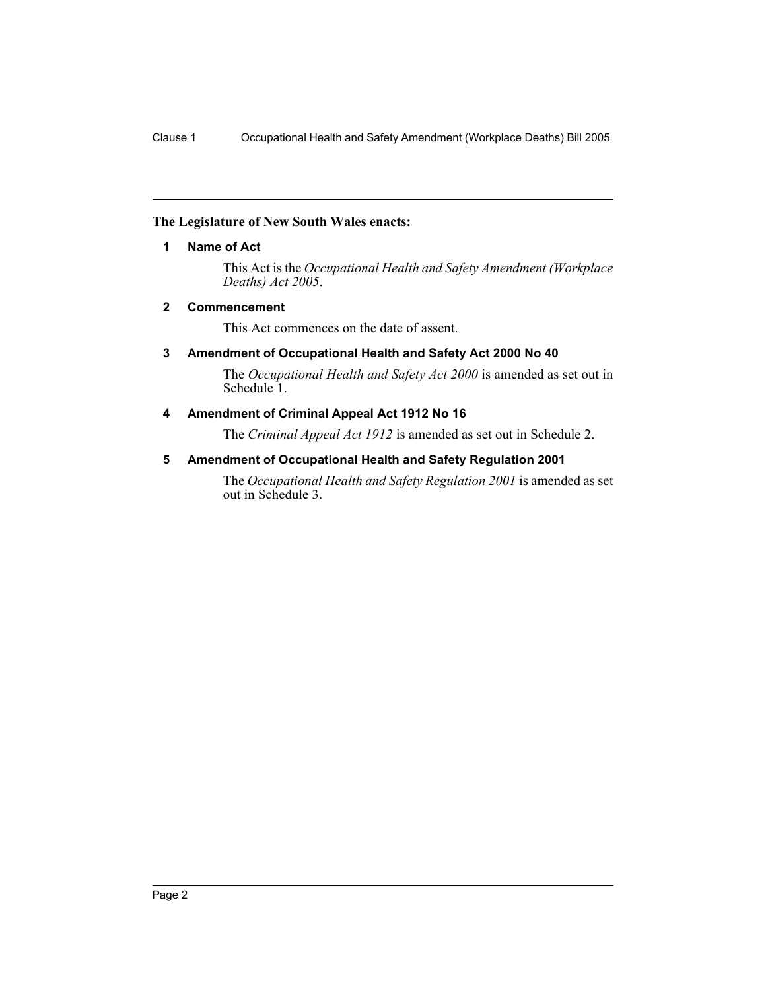#### **The Legislature of New South Wales enacts:**

#### **1 Name of Act**

This Act is the *Occupational Health and Safety Amendment (Workplace Deaths) Act 2005*.

#### **2 Commencement**

This Act commences on the date of assent.

#### **3 Amendment of Occupational Health and Safety Act 2000 No 40**

The *Occupational Health and Safety Act 2000* is amended as set out in Schedule<sup>1</sup>.

#### **4 Amendment of Criminal Appeal Act 1912 No 16**

The *Criminal Appeal Act 1912* is amended as set out in Schedule 2.

#### **5 Amendment of Occupational Health and Safety Regulation 2001**

The *Occupational Health and Safety Regulation 2001* is amended as set out in Schedule 3.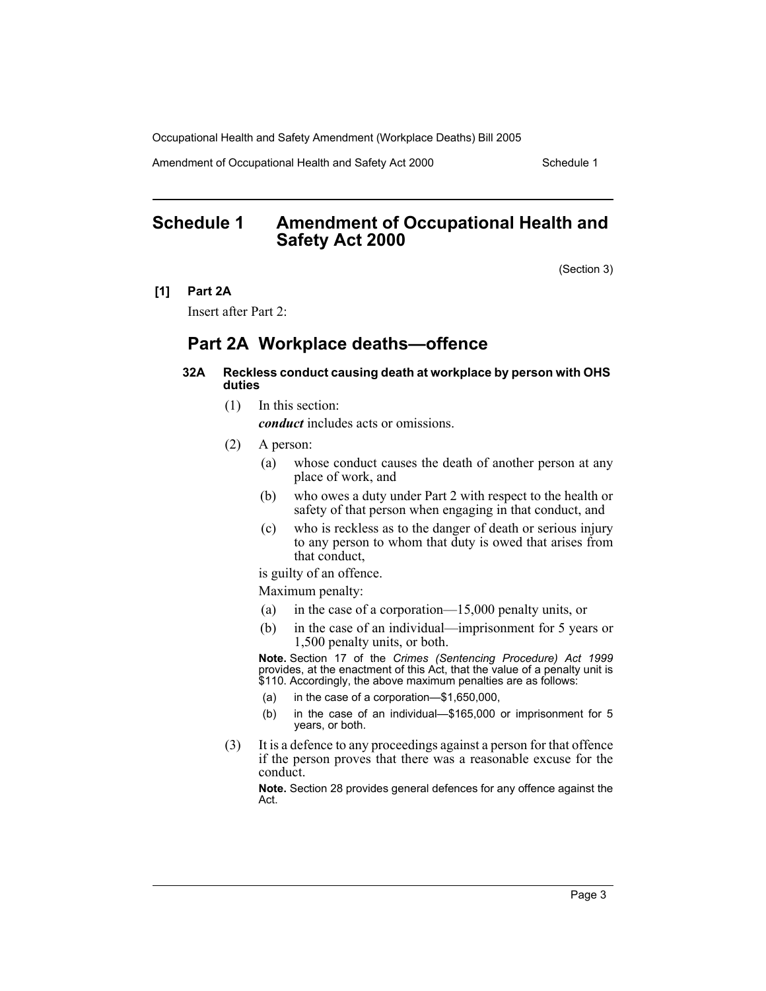Amendment of Occupational Health and Safety Act 2000 Schedule 1

### **Schedule 1 Amendment of Occupational Health and Safety Act 2000**

(Section 3)

**[1] Part 2A**

Insert after Part 2:

## **Part 2A Workplace deaths—offence**

#### **32A Reckless conduct causing death at workplace by person with OHS duties**

(1) In this section:

*conduct* includes acts or omissions.

- (2) A person:
	- (a) whose conduct causes the death of another person at any place of work, and
	- (b) who owes a duty under Part 2 with respect to the health or safety of that person when engaging in that conduct, and
	- (c) who is reckless as to the danger of death or serious injury to any person to whom that duty is owed that arises from that conduct,

is guilty of an offence.

Maximum penalty:

- (a) in the case of a corporation—15,000 penalty units, or
- (b) in the case of an individual—imprisonment for 5 years or 1,500 penalty units, or both.

**Note.** Section 17 of the *Crimes (Sentencing Procedure) Act 1999* provides, at the enactment of this Act, that the value of a penalty unit is \$110. Accordingly, the above maximum penalties are as follows:

- (a) in the case of a corporation—\$1,650,000,
- (b) in the case of an individual—\$165,000 or imprisonment for 5 years, or both.
- (3) It is a defence to any proceedings against a person for that offence if the person proves that there was a reasonable excuse for the conduct.

**Note.** Section 28 provides general defences for any offence against the Act.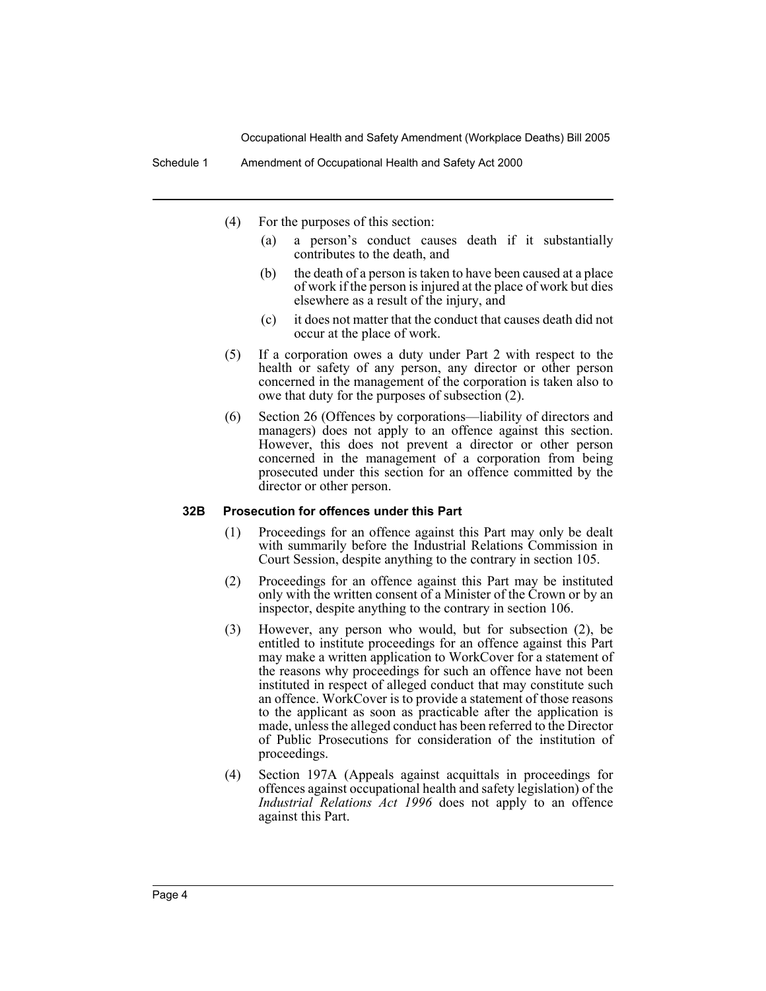Schedule 1 Amendment of Occupational Health and Safety Act 2000

- (4) For the purposes of this section:
	- (a) a person's conduct causes death if it substantially contributes to the death, and
	- (b) the death of a person is taken to have been caused at a place of work if the person is injured at the place of work but dies elsewhere as a result of the injury, and
	- (c) it does not matter that the conduct that causes death did not occur at the place of work.
- (5) If a corporation owes a duty under Part 2 with respect to the health or safety of any person, any director or other person concerned in the management of the corporation is taken also to owe that duty for the purposes of subsection (2).
- (6) Section 26 (Offences by corporations—liability of directors and managers) does not apply to an offence against this section. However, this does not prevent a director or other person concerned in the management of a corporation from being prosecuted under this section for an offence committed by the director or other person.

#### **32B Prosecution for offences under this Part**

- (1) Proceedings for an offence against this Part may only be dealt with summarily before the Industrial Relations Commission in Court Session, despite anything to the contrary in section 105.
- (2) Proceedings for an offence against this Part may be instituted only with the written consent of a Minister of the Crown or by an inspector, despite anything to the contrary in section 106.
- (3) However, any person who would, but for subsection (2), be entitled to institute proceedings for an offence against this Part may make a written application to WorkCover for a statement of the reasons why proceedings for such an offence have not been instituted in respect of alleged conduct that may constitute such an offence. WorkCover is to provide a statement of those reasons to the applicant as soon as practicable after the application is made, unless the alleged conduct has been referred to the Director of Public Prosecutions for consideration of the institution of proceedings.
- (4) Section 197A (Appeals against acquittals in proceedings for offences against occupational health and safety legislation) of the *Industrial Relations Act 1996* does not apply to an offence against this Part.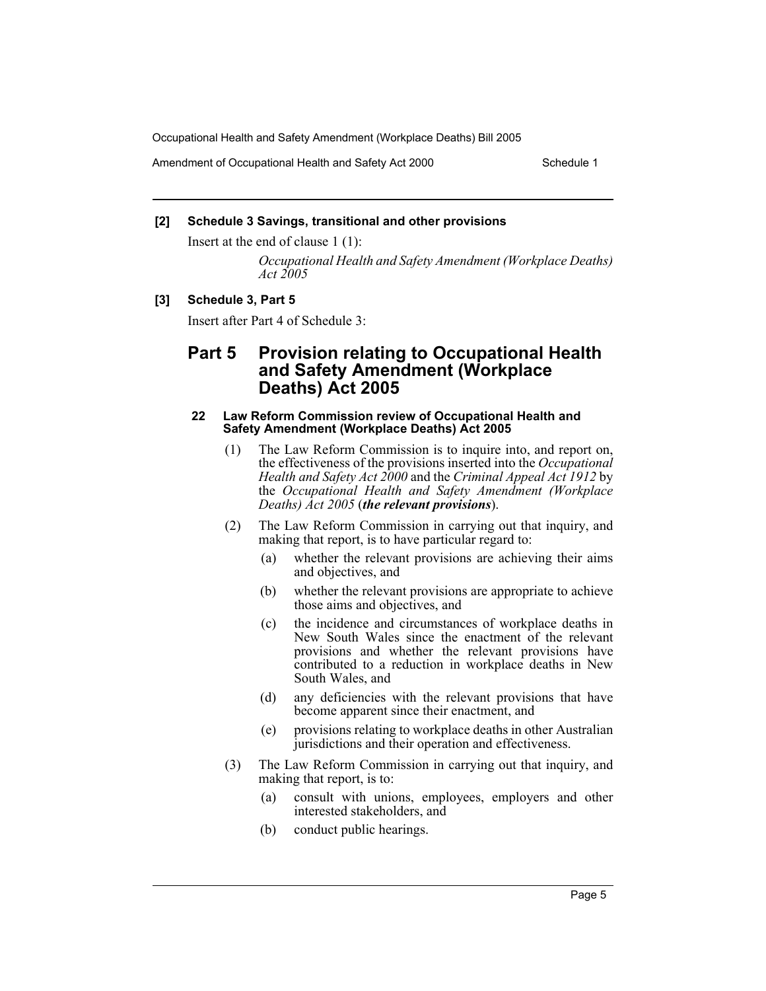Amendment of Occupational Health and Safety Act 2000 Schedule 1

#### **[2] Schedule 3 Savings, transitional and other provisions**

Insert at the end of clause 1 (1):

*Occupational Health and Safety Amendment (Workplace Deaths) Act 2005*

#### **[3] Schedule 3, Part 5**

Insert after Part 4 of Schedule 3:

### **Part 5 Provision relating to Occupational Health and Safety Amendment (Workplace Deaths) Act 2005**

#### **22 Law Reform Commission review of Occupational Health and Safety Amendment (Workplace Deaths) Act 2005**

- (1) The Law Reform Commission is to inquire into, and report on, the effectiveness of the provisions inserted into the *Occupational Health and Safety Act 2000* and the *Criminal Appeal Act 1912* by the *Occupational Health and Safety Amendment (Workplace Deaths) Act 2005* (*the relevant provisions*).
- (2) The Law Reform Commission in carrying out that inquiry, and making that report, is to have particular regard to:
	- (a) whether the relevant provisions are achieving their aims and objectives, and
	- (b) whether the relevant provisions are appropriate to achieve those aims and objectives, and
	- (c) the incidence and circumstances of workplace deaths in New South Wales since the enactment of the relevant provisions and whether the relevant provisions have contributed to a reduction in workplace deaths in New South Wales, and
	- (d) any deficiencies with the relevant provisions that have become apparent since their enactment, and
	- (e) provisions relating to workplace deaths in other Australian jurisdictions and their operation and effectiveness.
- (3) The Law Reform Commission in carrying out that inquiry, and making that report, is to:
	- (a) consult with unions, employees, employers and other interested stakeholders, and
	- (b) conduct public hearings.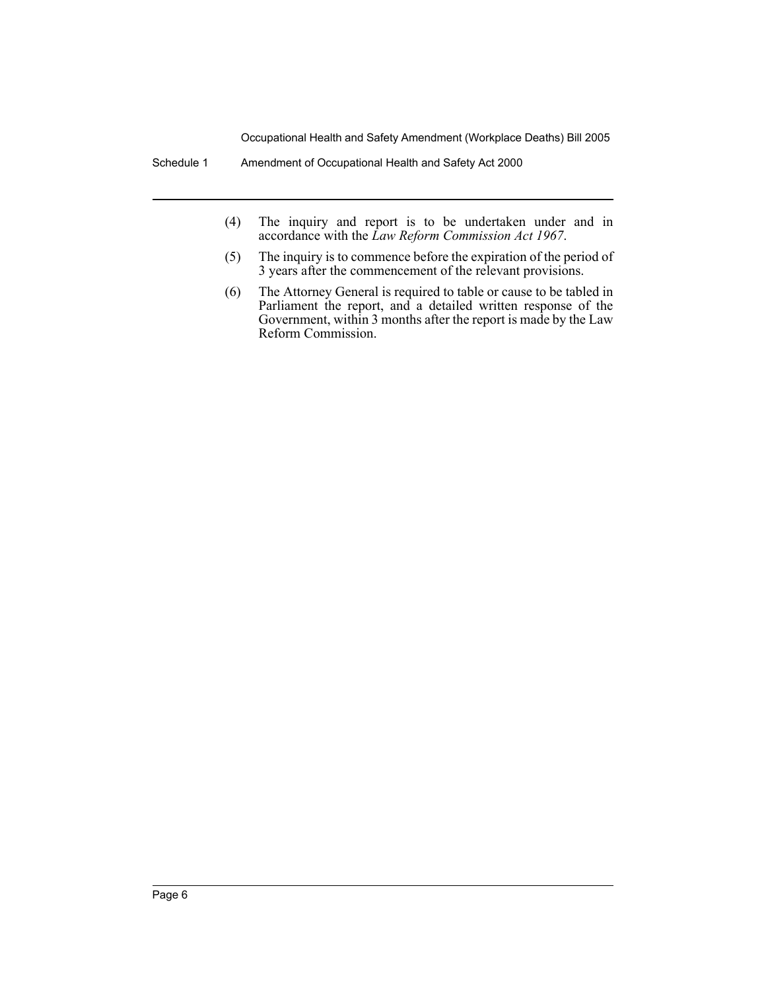Schedule 1 Amendment of Occupational Health and Safety Act 2000

- (4) The inquiry and report is to be undertaken under and in accordance with the *Law Reform Commission Act 1967*.
- (5) The inquiry is to commence before the expiration of the period of 3 years after the commencement of the relevant provisions.
- (6) The Attorney General is required to table or cause to be tabled in Parliament the report, and a detailed written response of the Government, within 3 months after the report is made by the Law Reform Commission.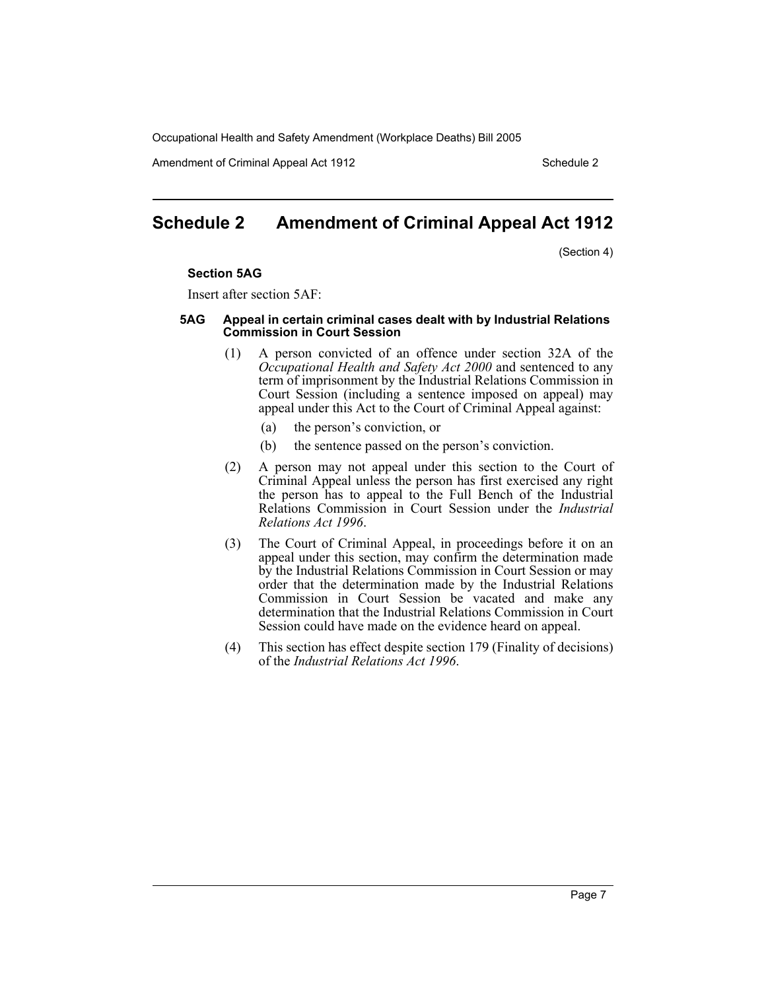Amendment of Criminal Appeal Act 1912 Schedule 2

## **Schedule 2 Amendment of Criminal Appeal Act 1912**

(Section 4)

#### **Section 5AG**

Insert after section 5AF:

#### **5AG Appeal in certain criminal cases dealt with by Industrial Relations Commission in Court Session**

- (1) A person convicted of an offence under section 32A of the *Occupational Health and Safety Act 2000* and sentenced to any term of imprisonment by the Industrial Relations Commission in Court Session (including a sentence imposed on appeal) may appeal under this Act to the Court of Criminal Appeal against:
	- (a) the person's conviction, or
	- (b) the sentence passed on the person's conviction.
- (2) A person may not appeal under this section to the Court of Criminal Appeal unless the person has first exercised any right the person has to appeal to the Full Bench of the Industrial Relations Commission in Court Session under the *Industrial Relations Act 1996*.
- (3) The Court of Criminal Appeal, in proceedings before it on an appeal under this section, may confirm the determination made by the Industrial Relations Commission in Court Session or may order that the determination made by the Industrial Relations Commission in Court Session be vacated and make any determination that the Industrial Relations Commission in Court Session could have made on the evidence heard on appeal.
- (4) This section has effect despite section 179 (Finality of decisions) of the *Industrial Relations Act 1996*.